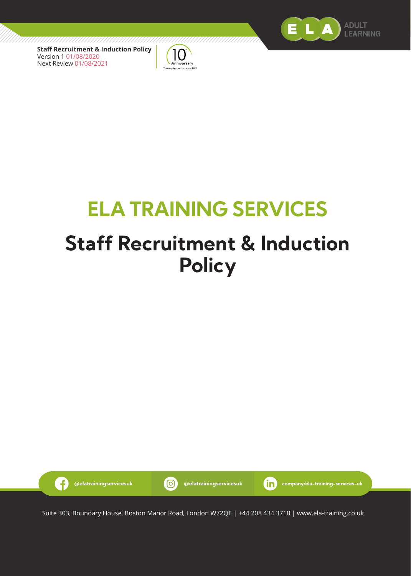

**Staff Recruitment & Induction Policy** Version 1 01/08/2020 Next Review 01/08/2021

G



# **ELA TRAINING SERVICES**

# **Staff Recruitment & Induction Policy**



**@elatrainingservicesuk @elatrainingservicesuk company/ela-training-services-uk**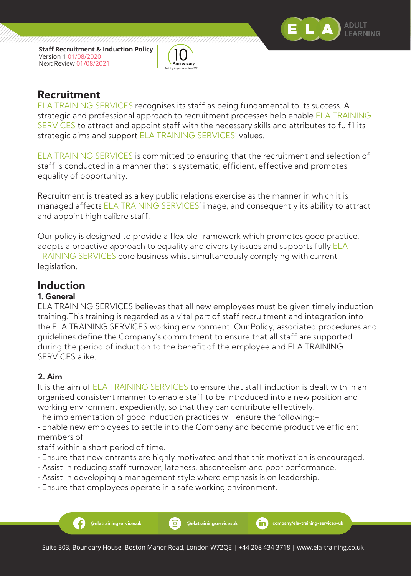



### **Recruitment**

ELA TRAINING SERVICES recognises its staff as being fundamental to its success. A strategic and professional approach to recruitment processes help enable ELA TRAINING SERVICES to attract and appoint staff with the necessary skills and attributes to fulfil its strategic aims and support ELA TRAINING SERVICES' values.

ELA TRAINING SERVICES is committed to ensuring that the recruitment and selection of staff is conducted in a manner that is systematic, efficient, effective and promotes equality of opportunity.

Recruitment is treated as a key public relations exercise as the manner in which it is managed affects ELA TRAINING SERVICES' image, and consequently its ability to attract and appoint high calibre staff.

Our policy is designed to provide a flexible framework which promotes good practice, adopts a proactive approach to equality and diversity issues and supports fully **ELA** TRAINING SERVICES core business whist simultaneously complying with current legislation.

## **Induction**

#### **1. General**

ELA TRAINING SERVICES believes that all new employees must be given timely induction training.This training is regarded as a vital part of staff recruitment and integration into the ELA TRAINING SERVICES working environment. Our Policy, associated procedures and guidelines define the Company's commitment to ensure that all staff are supported during the period of induction to the benefit of the employee and ELA TRAINING SERVICES alike.

#### **2. Aim**

It is the aim of ELA TRAINING SERVICES to ensure that staff induction is dealt with in an organised consistent manner to enable staff to be introduced into a new position and working environment expediently, so that they can contribute effectively.

The implementation of good induction practices will ensure the following:- - Enable new employees to settle into the Company and become productive efficient

members of

staff within a short period of time.

- Ensure that new entrants are highly motivated and that this motivation is encouraged.
- Assist in reducing staff turnover, lateness, absenteeism and poor performance.
- Assist in developing a management style where emphasis is on leadership.
- Ensure that employees operate in a safe working environment.